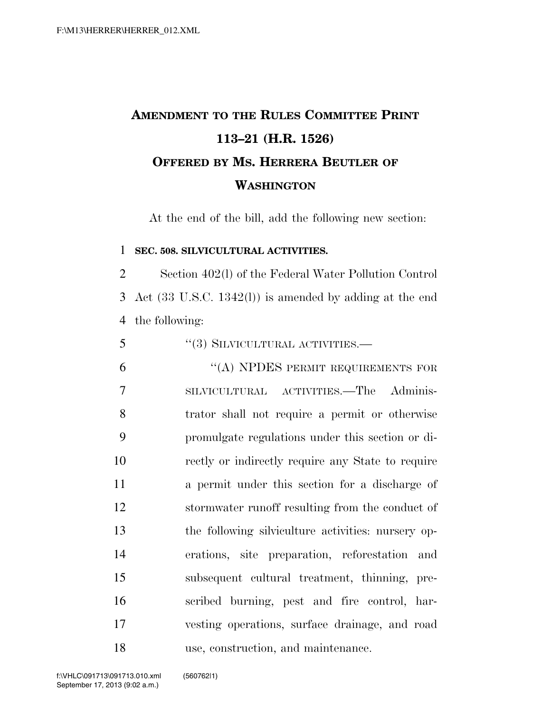## **AMENDMENT TO THE RULES COMMITTEE PRINT 113–21 (H.R. 1526) OFFERED BY MS. HERRERA BEUTLER OF WASHINGTON**

At the end of the bill, add the following new section:

## **SEC. 508. SILVICULTURAL ACTIVITIES.**

"(3) SILVICULTURAL ACTIVITIES.—

 Section 402(l) of the Federal Water Pollution Control Act (33 U.S.C. 1342(l)) is amended by adding at the end the following:

 ''(A) NPDES PERMIT REQUIREMENTS FOR SILVICULTURAL ACTIVITIES.—The Adminis- trator shall not require a permit or otherwise promulgate regulations under this section or di- rectly or indirectly require any State to require a permit under this section for a discharge of stormwater runoff resulting from the conduct of the following silviculture activities: nursery op- erations, site preparation, reforestation and subsequent cultural treatment, thinning, pre- scribed burning, pest and fire control, har- vesting operations, surface drainage, and road use, construction, and maintenance.